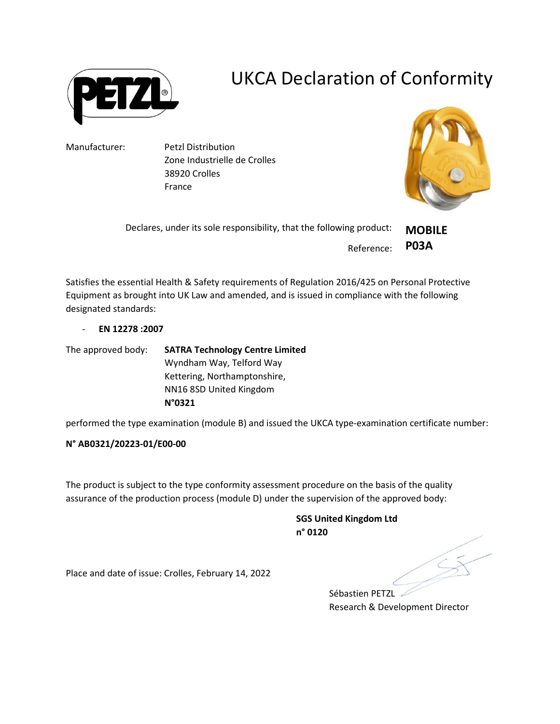

## UKCA Declaration of Conformity

Manufacturer: Petzl Distribution Zone Industrielle de Crolles 38920 Crolles France



| Declares, under its sole responsibility, that the following product: | <b>MOBILE</b> |
|----------------------------------------------------------------------|---------------|
| Reference: P03A                                                      |               |

Satisfies the essential Health & Safety requirements of Regulation 2016/425 on Personal Protective Equipment as brought into UK Law and amended, and is issued in compliance with the following designated standards:

- EN 12278 :2007

The approved body: SATRA Technology Centre Limited Wyndham Way, Telford Way Kettering, Northamptonshire, NN16 8SD United Kingdom N°0321

performed the type examination (module B) and issued the UKCA type-examination certificate number:

## N° AB0321/20223-01/E00-00

The product is subject to the type conformity assessment procedure on the basis of the quality assurance of the production process (module D) under the supervision of the approved body:

> SGS United Kingdom Ltd n° 0120

Place and date of issue: Crolles, February 14, 2022

Sébastien PETZL Research & Development Director